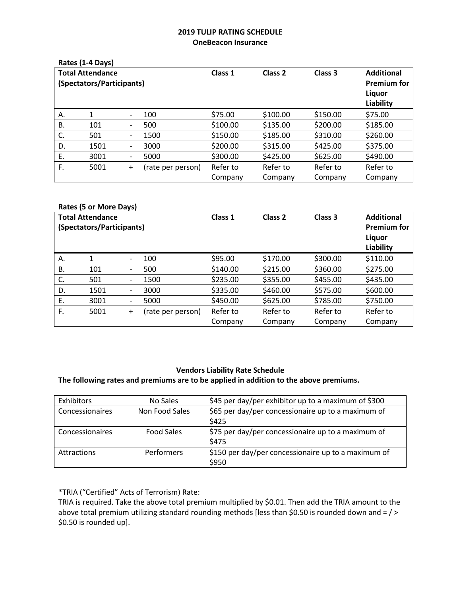# **2019 TULIP RATING SCHEDULE OneBeacon Insurance**

|                           | Rates (1-4 Days) |                              |                   |                    |          |                    |           |
|---------------------------|------------------|------------------------------|-------------------|--------------------|----------|--------------------|-----------|
| <b>Total Attendance</b>   |                  |                              | Class 1           | Class <sub>2</sub> | Class 3  | <b>Additional</b>  |           |
| (Spectators/Participants) |                  |                              |                   |                    |          | <b>Premium for</b> |           |
|                           |                  |                              |                   |                    |          |                    | Liquor    |
|                           |                  |                              |                   |                    |          |                    | Liability |
| А.                        |                  | $\overline{\phantom{0}}$     | 100               | \$75.00            | \$100.00 | \$150.00           | \$75.00   |
| В.                        | 101              | $\overline{\phantom{0}}$     | 500               | \$100.00           | \$135.00 | \$200.00           | \$185.00  |
| C.                        | 501              | $\qquad \qquad \blacksquare$ | 1500              | \$150.00           | \$185.00 | \$310.00           | \$260.00  |
| D.                        | 1501             | $\qquad \qquad \blacksquare$ | 3000              | \$200.00           | \$315.00 | \$425.00           | \$375.00  |
| Ε.                        | 3001             | $\qquad \qquad \blacksquare$ | 5000              | \$300.00           | \$425.00 | \$625.00           | \$490.00  |
| F.                        | 5001             | $\ddot{}$                    | (rate per person) | Refer to           | Refer to | Refer to           | Refer to  |
|                           |                  |                              |                   | Company            | Company  | Company            | Company   |

#### **Rates (5 or More Days)**

| <b>Total Attendance</b><br>(Spectators/Participants) |      |                              | Class 1           | Class 2  | Class 3  | <b>Additional</b><br><b>Premium for</b><br>Liquor |           |
|------------------------------------------------------|------|------------------------------|-------------------|----------|----------|---------------------------------------------------|-----------|
|                                                      |      |                              |                   |          |          |                                                   | Liability |
| А.                                                   |      | $\overline{\phantom{0}}$     | 100               | \$95.00  | \$170.00 | \$300.00                                          | \$110.00  |
| В.                                                   | 101  | $\overline{\phantom{0}}$     | 500               | \$140.00 | \$215.00 | \$360.00                                          | \$275.00  |
| C.                                                   | 501  | $\qquad \qquad \blacksquare$ | 1500              | \$235.00 | \$355.00 | \$455.00                                          | \$435.00  |
| D.                                                   | 1501 | $\overline{\phantom{0}}$     | 3000              | \$335.00 | \$460.00 | \$575.00                                          | \$600.00  |
| Ε.                                                   | 3001 | $\qquad \qquad \blacksquare$ | 5000              | \$450.00 | \$625.00 | \$785.00                                          | \$750.00  |
| F.                                                   | 5001 | $+$                          | (rate per person) | Refer to | Refer to | Refer to                                          | Refer to  |
|                                                      |      |                              |                   | Company  | Company  | Company                                           | Company   |

## **Vendors Liability Rate Schedule**

#### **The following rates and premiums are to be applied in addition to the above premiums.**

| Exhibitors         | No Sales          | \$45 per day/per exhibitor up to a maximum of \$300          |
|--------------------|-------------------|--------------------------------------------------------------|
| Concessionaires    | Non Food Sales    | \$65 per day/per concessionaire up to a maximum of<br>\$425  |
| Concessionaires    | <b>Food Sales</b> | \$75 per day/per concessionaire up to a maximum of<br>\$475  |
| <b>Attractions</b> | <b>Performers</b> | \$150 per day/per concessionaire up to a maximum of<br>\$950 |

## \*TRIA ("Certified" Acts of Terrorism) Rate:

TRIA is required. Take the above total premium multiplied by \$0.01. Then add the TRIA amount to the above total premium utilizing standard rounding methods [less than \$0.50 is rounded down and = / > \$0.50 is rounded up].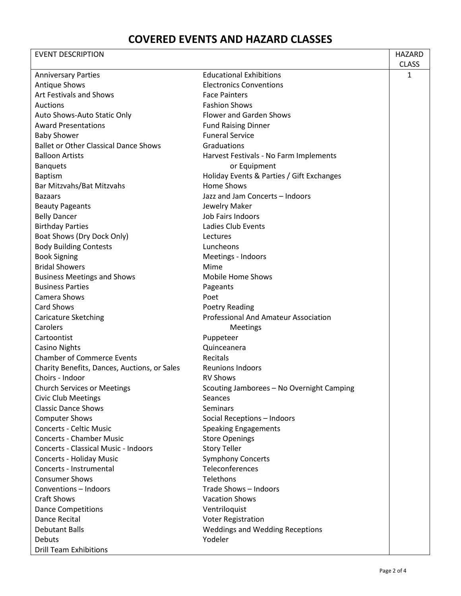| <b>EVENT DESCRIPTION</b>                     |                                             | HAZARD       |
|----------------------------------------------|---------------------------------------------|--------------|
|                                              |                                             | <b>CLASS</b> |
| <b>Anniversary Parties</b>                   | <b>Educational Exhibitions</b>              | 1            |
| <b>Antique Shows</b>                         | <b>Electronics Conventions</b>              |              |
| Art Festivals and Shows                      | <b>Face Painters</b>                        |              |
| Auctions                                     | <b>Fashion Shows</b>                        |              |
| Auto Shows-Auto Static Only                  | <b>Flower and Garden Shows</b>              |              |
| <b>Award Presentations</b>                   | <b>Fund Raising Dinner</b>                  |              |
| <b>Baby Shower</b>                           | <b>Funeral Service</b>                      |              |
| <b>Ballet or Other Classical Dance Shows</b> | Graduations                                 |              |
| <b>Balloon Artists</b>                       | Harvest Festivals - No Farm Implements      |              |
| <b>Banquets</b>                              | or Equipment                                |              |
| <b>Baptism</b>                               | Holiday Events & Parties / Gift Exchanges   |              |
| Bar Mitzvahs/Bat Mitzvahs                    | Home Shows                                  |              |
| <b>Bazaars</b>                               | Jazz and Jam Concerts - Indoors             |              |
| <b>Beauty Pageants</b>                       | Jewelry Maker                               |              |
| <b>Belly Dancer</b>                          | Job Fairs Indoors                           |              |
| <b>Birthday Parties</b>                      | Ladies Club Events                          |              |
| Boat Shows (Dry Dock Only)                   | Lectures                                    |              |
| <b>Body Building Contests</b>                | Luncheons                                   |              |
| <b>Book Signing</b>                          | Meetings - Indoors                          |              |
| <b>Bridal Showers</b>                        | Mime                                        |              |
| <b>Business Meetings and Shows</b>           | Mobile Home Shows                           |              |
| <b>Business Parties</b>                      | Pageants                                    |              |
| Camera Shows                                 | Poet                                        |              |
| <b>Card Shows</b>                            | Poetry Reading                              |              |
| <b>Caricature Sketching</b>                  | <b>Professional And Amateur Association</b> |              |
| Carolers                                     | <b>Meetings</b>                             |              |
| Cartoontist                                  | Puppeteer                                   |              |
| <b>Casino Nights</b>                         | Quinceanera                                 |              |
| <b>Chamber of Commerce Events</b>            | Recitals                                    |              |
| Charity Benefits, Dances, Auctions, or Sales | <b>Reunions Indoors</b>                     |              |
| Choirs - Indoor                              | <b>RV Shows</b>                             |              |
| <b>Church Services or Meetings</b>           | Scouting Jamborees - No Overnight Camping   |              |
| <b>Civic Club Meetings</b>                   | <b>Seances</b>                              |              |
| <b>Classic Dance Shows</b>                   | <b>Seminars</b>                             |              |
| <b>Computer Shows</b>                        | Social Receptions - Indoors                 |              |
| <b>Concerts - Celtic Music</b>               | <b>Speaking Engagements</b>                 |              |
| <b>Concerts - Chamber Music</b>              | <b>Store Openings</b>                       |              |
| <b>Concerts - Classical Music - Indoors</b>  | <b>Story Teller</b>                         |              |
| Concerts - Holiday Music                     | <b>Symphony Concerts</b>                    |              |
| Concerts - Instrumental                      | Teleconferences                             |              |
| <b>Consumer Shows</b>                        | Telethons                                   |              |
| Conventions - Indoors                        | Trade Shows - Indoors                       |              |
| <b>Craft Shows</b>                           | <b>Vacation Shows</b>                       |              |
| <b>Dance Competitions</b>                    | Ventriloquist                               |              |
| Dance Recital                                | <b>Voter Registration</b>                   |              |
| <b>Debutant Balls</b>                        | <b>Weddings and Wedding Receptions</b>      |              |
| Debuts                                       | Yodeler                                     |              |
| <b>Drill Team Exhibitions</b>                |                                             |              |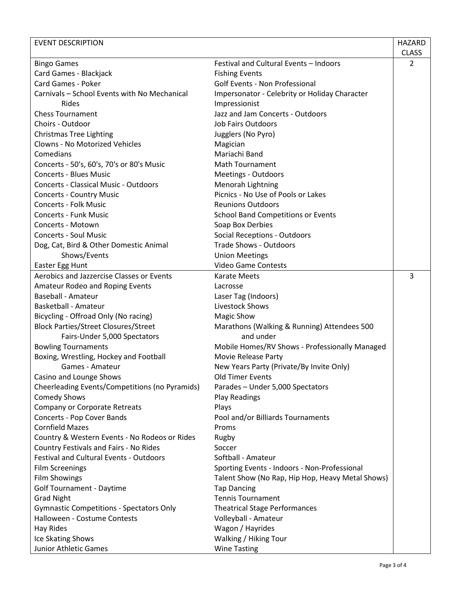| <b>EVENT DESCRIPTION</b>                                 |                                                  | HAZARD       |
|----------------------------------------------------------|--------------------------------------------------|--------------|
|                                                          |                                                  | <b>CLASS</b> |
| <b>Bingo Games</b>                                       | Festival and Cultural Events - Indoors           | 2            |
| Card Games - Blackjack                                   | <b>Fishing Events</b>                            |              |
| Card Games - Poker                                       | Golf Events - Non Professional                   |              |
| Carnivals - School Events with No Mechanical             | Impersonator - Celebrity or Holiday Character    |              |
| Rides                                                    | Impressionist                                    |              |
| <b>Chess Tournament</b>                                  | Jazz and Jam Concerts - Outdoors                 |              |
| Choirs - Outdoor                                         | <b>Job Fairs Outdoors</b>                        |              |
| <b>Christmas Tree Lighting</b>                           | Jugglers (No Pyro)                               |              |
| Clowns - No Motorized Vehicles                           | Magician                                         |              |
| Comedians                                                | Mariachi Band                                    |              |
| Concerts - 50's, 60's, 70's or 80's Music                | <b>Math Tournament</b>                           |              |
| <b>Concerts - Blues Music</b>                            | Meetings - Outdoors                              |              |
| <b>Concerts - Classical Music - Outdoors</b>             | Menorah Lightning                                |              |
| <b>Concerts - Country Music</b>                          | Picnics - No Use of Pools or Lakes               |              |
| <b>Concerts - Folk Music</b>                             | <b>Reunions Outdoors</b>                         |              |
| <b>Concerts - Funk Music</b>                             | <b>School Band Competitions or Events</b>        |              |
| Concerts - Motown                                        | Soap Box Derbies                                 |              |
| <b>Concerts - Soul Music</b>                             | <b>Social Receptions - Outdoors</b>              |              |
| Dog, Cat, Bird & Other Domestic Animal                   | <b>Trade Shows - Outdoors</b>                    |              |
| Shows/Events                                             | <b>Union Meetings</b>                            |              |
| Easter Egg Hunt                                          | <b>Video Game Contests</b>                       |              |
| Aerobics and Jazzercise Classes or Events                | <b>Karate Meets</b>                              | 3            |
| Amateur Rodeo and Roping Events                          | Lacrosse                                         |              |
| <b>Baseball - Amateur</b>                                | Laser Tag (Indoors)                              |              |
| <b>Basketball - Amateur</b>                              | Livestock Shows                                  |              |
| Bicycling - Offroad Only (No racing)                     | <b>Magic Show</b>                                |              |
| <b>Block Parties/Street Closures/Street</b>              | Marathons (Walking & Running) Attendees 500      |              |
| Fairs-Under 5,000 Spectators                             | and under                                        |              |
| <b>Bowling Tournaments</b>                               | Mobile Homes/RV Shows - Professionally Managed   |              |
| Boxing, Wrestling, Hockey and Football                   | Movie Release Party                              |              |
| Games - Amateur                                          | New Years Party (Private/By Invite Only)         |              |
| Casino and Lounge Shows                                  | <b>Old Timer Events</b>                          |              |
| Cheerleading Events/Competitions (no Pyramids)           | Parades - Under 5,000 Spectators                 |              |
| <b>Comedy Shows</b>                                      | <b>Play Readings</b>                             |              |
| <b>Company or Corporate Retreats</b>                     | Plays                                            |              |
| <b>Concerts - Pop Cover Bands</b>                        | Pool and/or Billiards Tournaments                |              |
| <b>Cornfield Mazes</b>                                   | Proms                                            |              |
| Country & Western Events - No Rodeos or Rides            | Rugby                                            |              |
| Country Festivals and Fairs - No Rides                   | Soccer                                           |              |
| Festival and Cultural Events - Outdoors                  | Softball - Amateur                               |              |
| <b>Film Screenings</b>                                   | Sporting Events - Indoors - Non-Professional     |              |
|                                                          | Talent Show (No Rap, Hip Hop, Heavy Metal Shows) |              |
| <b>Film Showings</b><br><b>Golf Tournament - Daytime</b> |                                                  |              |
|                                                          | <b>Tap Dancing</b><br><b>Tennis Tournament</b>   |              |
| <b>Grad Night</b>                                        |                                                  |              |
| <b>Gymnastic Competitions - Spectators Only</b>          | <b>Theatrical Stage Performances</b>             |              |
| Halloween - Costume Contests                             | Volleyball - Amateur                             |              |
| Hay Rides                                                | Wagon / Hayrides                                 |              |
| Ice Skating Shows                                        | Walking / Hiking Tour                            |              |
| Junior Athletic Games                                    | <b>Wine Tasting</b>                              |              |